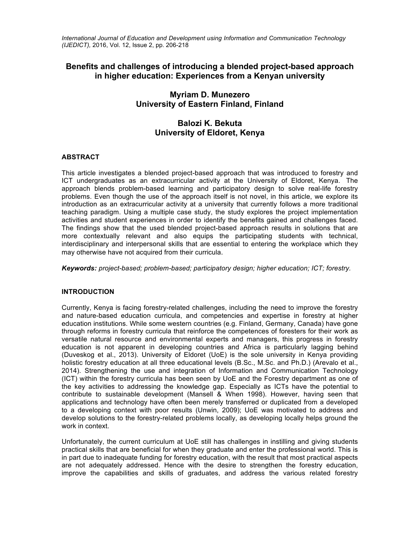*International Journal of Education and Development using Information and Communication Technology (IJEDICT),* 2016, Vol. 12, Issue 2, pp. 206-218

# **Benefits and challenges of introducing a blended project-based approach in higher education: Experiences from a Kenyan university**

# **Myriam D. Munezero University of Eastern Finland, Finland**

# **Balozi K. Bekuta University of Eldoret, Kenya**

# **ABSTRACT**

This article investigates a blended project-based approach that was introduced to forestry and ICT undergraduates as an extracurricular activity at the University of Eldoret, Kenya. The approach blends problem-based learning and participatory design to solve real-life forestry problems. Even though the use of the approach itself is not novel, in this article, we explore its introduction as an extracurricular activity at a university that currently follows a more traditional teaching paradigm. Using a multiple case study, the study explores the project implementation activities and student experiences in order to identify the benefits gained and challenges faced. The findings show that the used blended project-based approach results in solutions that are more contextually relevant and also equips the participating students with technical, interdisciplinary and interpersonal skills that are essential to entering the workplace which they may otherwise have not acquired from their curricula.

*Keywords: project-based; problem-based; participatory design; higher education; ICT; forestry.* 

# **INTRODUCTION**

Currently, Kenya is facing forestry-related challenges, including the need to improve the forestry and nature-based education curricula, and competencies and expertise in forestry at higher education institutions. While some western countries (e.g. Finland, Germany, Canada) have gone through reforms in forestry curricula that reinforce the competences of foresters for their work as versatile natural resource and environmental experts and managers, this progress in forestry education is not apparent in developing countries and Africa is particularly lagging behind (Duveskog et al., 2013). University of Eldoret (UoE) is the sole university in Kenya providing holistic forestry education at all three educational levels (B.Sc., M.Sc. and Ph.D.) (Arevalo et al., 2014). Strengthening the use and integration of Information and Communication Technology (ICT) within the forestry curricula has been seen by UoE and the Forestry department as one of the key activities to addressing the knowledge gap. Especially as ICTs have the potential to contribute to sustainable development (Mansell & When 1998). However, having seen that applications and technology have often been merely transferred or duplicated from a developed to a developing context with poor results (Unwin, 2009); UoE was motivated to address and develop solutions to the forestry-related problems locally, as developing locally helps ground the work in context.

Unfortunately, the current curriculum at UoE still has challenges in instilling and giving students practical skills that are beneficial for when they graduate and enter the professional world. This is in part due to inadequate funding for forestry education, with the result that most practical aspects are not adequately addressed. Hence with the desire to strengthen the forestry education, improve the capabilities and skills of graduates, and address the various related forestry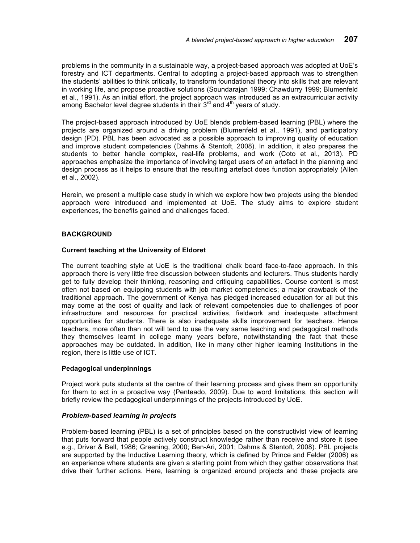problems in the community in a sustainable way, a project-based approach was adopted at UoE's forestry and ICT departments. Central to adopting a project-based approach was to strengthen the students' abilities to think critically, to transform foundational theory into skills that are relevant in working life, and propose proactive solutions (Soundarajan 1999; Chawdurry 1999; Blumenfeld et al., 1991). As an initial effort, the project approach was introduced as an extracurricular activity among Bachelor level degree students in their  $3<sup>rd</sup>$  and  $4<sup>th</sup>$  years of study.

The project-based approach introduced by UoE blends problem-based learning (PBL) where the projects are organized around a driving problem (Blumenfeld et al., 1991), and participatory design (PD). PBL has been advocated as a possible approach to improving quality of education and improve student competencies (Dahms & Stentoft, 2008). In addition, it also prepares the students to better handle complex, real-life problems, and work (Coto et al., 2013). PD approaches emphasize the importance of involving target users of an artefact in the planning and design process as it helps to ensure that the resulting artefact does function appropriately (Allen et al., 2002).

Herein, we present a multiple case study in which we explore how two projects using the blended approach were introduced and implemented at UoE. The study aims to explore student experiences, the benefits gained and challenges faced.

# **BACKGROUND**

# **Current teaching at the University of Eldoret**

The current teaching style at UoE is the traditional chalk board face-to-face approach. In this approach there is very little free discussion between students and lecturers. Thus students hardly get to fully develop their thinking, reasoning and critiquing capabilities. Course content is most often not based on equipping students with job market competencies; a major drawback of the traditional approach. The government of Kenya has pledged increased education for all but this may come at the cost of quality and lack of relevant competencies due to challenges of poor infrastructure and resources for practical activities, fieldwork and inadequate attachment opportunities for students. There is also inadequate skills improvement for teachers. Hence teachers, more often than not will tend to use the very same teaching and pedagogical methods they themselves learnt in college many years before, notwithstanding the fact that these approaches may be outdated. In addition, like in many other higher learning Institutions in the region, there is little use of ICT.

# **Pedagogical underpinnings**

Project work puts students at the centre of their learning process and gives them an opportunity for them to act in a proactive way (Penteado, 2009). Due to word limitations, this section will briefly review the pedagogical underpinnings of the projects introduced by UoE.

#### *Problem-based learning in projects*

Problem-based learning (PBL) is a set of principles based on the constructivist view of learning that puts forward that people actively construct knowledge rather than receive and store it (see e.g., Driver & Bell, 1986; Greening, 2000; Ben-Ari, 2001; Dahms & Stentoft, 2008). PBL projects are supported by the Inductive Learning theory, which is defined by Prince and Felder (2006) as an experience where students are given a starting point from which they gather observations that drive their further actions. Here, learning is organized around projects and these projects are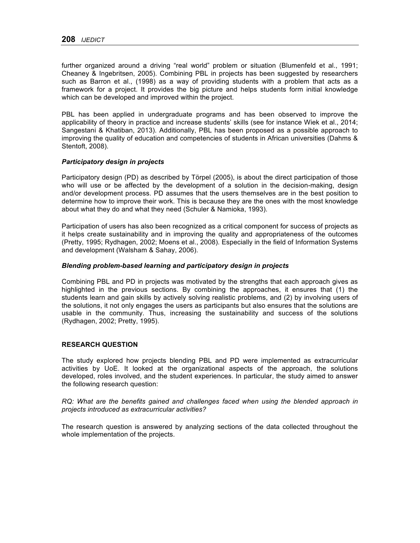further organized around a driving "real world" problem or situation (Blumenfeld et al., 1991; Cheaney & Ingebritsen, 2005). Combining PBL in projects has been suggested by researchers such as Barron et al., (1998) as a way of providing students with a problem that acts as a framework for a project. It provides the big picture and helps students form initial knowledge which can be developed and improved within the project.

PBL has been applied in undergraduate programs and has been observed to improve the applicability of theory in practice and increase students' skills (see for instance Wiek et al., 2014; Sangestani & Khatiban, 2013). Additionally, PBL has been proposed as a possible approach to improving the quality of education and competencies of students in African universities (Dahms & Stentoft, 2008).

# *Participatory design in projects*

Participatory design (PD) as described by Törpel (2005), is about the direct participation of those who will use or be affected by the development of a solution in the decision-making, design and/or development process. PD assumes that the users themselves are in the best position to determine how to improve their work. This is because they are the ones with the most knowledge about what they do and what they need (Schuler & Namioka, 1993).

Participation of users has also been recognized as a critical component for success of projects as it helps create sustainability and in improving the quality and appropriateness of the outcomes (Pretty, 1995; Rydhagen, 2002; Moens et al., 2008). Especially in the field of Information Systems and development (Walsham & Sahay, 2006).

#### *Blending problem-based learning and participatory design in projects*

Combining PBL and PD in projects was motivated by the strengths that each approach gives as highlighted in the previous sections. By combining the approaches, it ensures that (1) the students learn and gain skills by actively solving realistic problems, and (2) by involving users of the solutions, it not only engages the users as participants but also ensures that the solutions are usable in the community. Thus, increasing the sustainability and success of the solutions (Rydhagen, 2002; Pretty, 1995).

# **RESEARCH QUESTION**

The study explored how projects blending PBL and PD were implemented as extracurricular activities by UoE. It looked at the organizational aspects of the approach, the solutions developed, roles involved, and the student experiences. In particular, the study aimed to answer the following research question:

*RQ: What are the benefits gained and challenges faced when using the blended approach in projects introduced as extracurricular activities?*

The research question is answered by analyzing sections of the data collected throughout the whole implementation of the projects.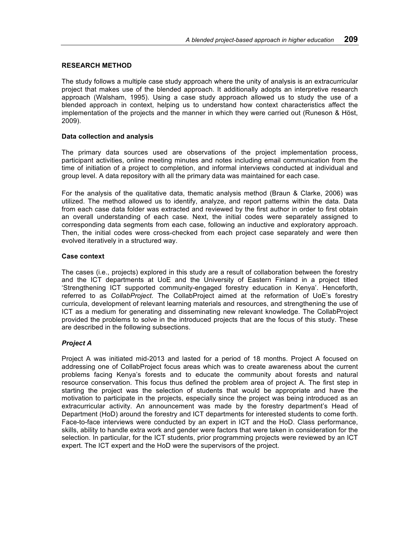### **RESEARCH METHOD**

The study follows a multiple case study approach where the unity of analysis is an extracurricular project that makes use of the blended approach. It additionally adopts an interpretive research approach (Walsham, 1995). Using a case study approach allowed us to study the use of a blended approach in context, helping us to understand how context characteristics affect the implementation of the projects and the manner in which they were carried out (Runeson & Höst, 2009).

#### **Data collection and analysis**

The primary data sources used are observations of the project implementation process, participant activities, online meeting minutes and notes including email communication from the time of initiation of a project to completion, and informal interviews conducted at individual and group level. A data repository with all the primary data was maintained for each case.

For the analysis of the qualitative data, thematic analysis method (Braun & Clarke, 2006) was utilized. The method allowed us to identify, analyze, and report patterns within the data. Data from each case data folder was extracted and reviewed by the first author in order to first obtain an overall understanding of each case. Next, the initial codes were separately assigned to corresponding data segments from each case, following an inductive and exploratory approach. Then, the initial codes were cross-checked from each project case separately and were then evolved iteratively in a structured way.

#### **Case context**

The cases (i.e., projects) explored in this study are a result of collaboration between the forestry and the ICT departments at UoE and the University of Eastern Finland in a project titled 'Strengthening ICT supported community-engaged forestry education in Kenya'. Henceforth, referred to as *CollabProject*. The CollabProject aimed at the reformation of UoE's forestry curricula, development of relevant learning materials and resources, and strengthening the use of ICT as a medium for generating and disseminating new relevant knowledge. The CollabProject provided the problems to solve in the introduced projects that are the focus of this study. These are described in the following subsections.

# *Project A*

Project A was initiated mid-2013 and lasted for a period of 18 months. Project A focused on addressing one of CollabProject focus areas which was to create awareness about the current problems facing Kenya's forests and to educate the community about forests and natural resource conservation. This focus thus defined the problem area of project A. The first step in starting the project was the selection of students that would be appropriate and have the motivation to participate in the projects, especially since the project was being introduced as an extracurricular activity. An announcement was made by the forestry department's Head of Department (HoD) around the forestry and ICT departments for interested students to come forth. Face-to-face interviews were conducted by an expert in ICT and the HoD. Class performance, skills, ability to handle extra work and gender were factors that were taken in consideration for the selection. In particular, for the ICT students, prior programming projects were reviewed by an ICT expert. The ICT expert and the HoD were the supervisors of the project.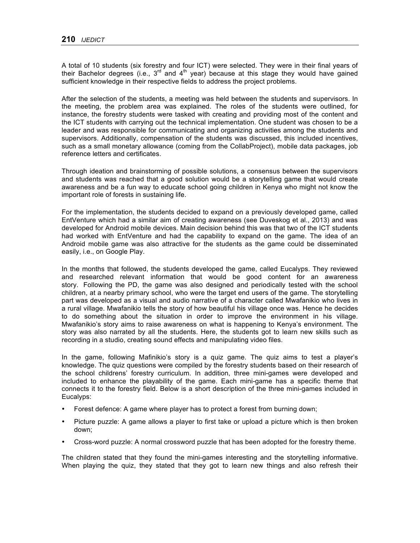A total of 10 students (six forestry and four ICT) were selected. They were in their final years of their Bachelor degrees (i.e.,  $3^{rd}$  and  $4^{th}$  year) because at this stage they would have gained sufficient knowledge in their respective fields to address the project problems.

After the selection of the students, a meeting was held between the students and supervisors. In the meeting, the problem area was explained. The roles of the students were outlined, for instance, the forestry students were tasked with creating and providing most of the content and the ICT students with carrying out the technical implementation. One student was chosen to be a leader and was responsible for communicating and organizing activities among the students and supervisors. Additionally, compensation of the students was discussed, this included incentives, such as a small monetary allowance (coming from the CollabProject), mobile data packages, job reference letters and certificates.

Through ideation and brainstorming of possible solutions, a consensus between the supervisors and students was reached that a good solution would be a storytelling game that would create awareness and be a fun way to educate school going children in Kenya who might not know the important role of forests in sustaining life.

For the implementation, the students decided to expand on a previously developed game, called EntVenture which had a similar aim of creating awareness (see Duveskog et al., 2013) and was developed for Android mobile devices. Main decision behind this was that two of the ICT students had worked with EntVenture and had the capability to expand on the game. The idea of an Android mobile game was also attractive for the students as the game could be disseminated easily, i.e., on Google Play.

In the months that followed, the students developed the game, called Eucalyps. They reviewed and researched relevant information that would be good content for an awareness story. Following the PD, the game was also designed and periodically tested with the school children, at a nearby primary school, who were the target end users of the game. The storytelling part was developed as a visual and audio narrative of a character called Mwafanikio who lives in a rural village. Mwafanikio tells the story of how beautiful his village once was. Hence he decides to do something about the situation in order to improve the environment in his village. Mwafanikio's story aims to raise awareness on what is happening to Kenya's environment. The story was also narrated by all the students. Here, the students got to learn new skills such as recording in a studio, creating sound effects and manipulating video files.

In the game, following Mafinikio's story is a quiz game. The quiz aims to test a player's knowledge. The quiz questions were compiled by the forestry students based on their research of the school childrens' forestry curriculum. In addition, three mini-games were developed and included to enhance the playability of the game. Each mini-game has a specific theme that connects it to the forestry field. Below is a short description of the three mini-games included in Eucalyps:

- Forest defence: A game where player has to protect a forest from burning down;
- Picture puzzle: A game allows a player to first take or upload a picture which is then broken down;
- Cross-word puzzle: A normal crossword puzzle that has been adopted for the forestry theme.

The children stated that they found the mini-games interesting and the storytelling informative. When playing the quiz, they stated that they got to learn new things and also refresh their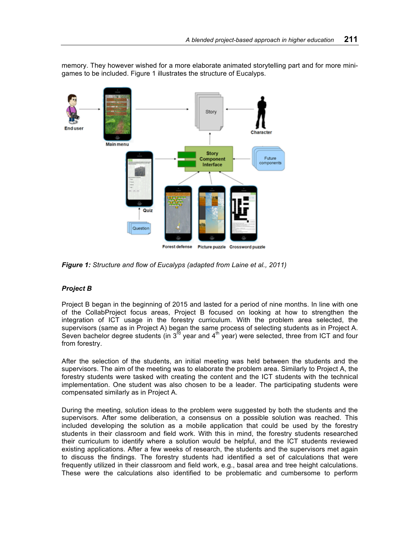memory. They however wished for a more elaborate animated storytelling part and for more minigames to be included. Figure 1 illustrates the structure of Eucalyps.



Forest defense Picture puzzle Crossword puzzle

*Figure 1: Structure and flow of Eucalyps (adapted from Laine et al., 2011)*

# *Project B*

Project B began in the beginning of 2015 and lasted for a period of nine months. In line with one of the CollabProject focus areas, Project B focused on looking at how to strengthen the integration of ICT usage in the forestry curriculum. With the problem area selected, the supervisors (same as in Project A) began the same process of selecting students as in Project A. Seven bachelor degree students (in  $3^{rd}$  year and  $4^{th}$  year) were selected, three from ICT and four from forestry.

After the selection of the students, an initial meeting was held between the students and the supervisors. The aim of the meeting was to elaborate the problem area. Similarly to Project A, the forestry students were tasked with creating the content and the ICT students with the technical implementation. One student was also chosen to be a leader. The participating students were compensated similarly as in Project A.

During the meeting, solution ideas to the problem were suggested by both the students and the supervisors. After some deliberation, a consensus on a possible solution was reached. This included developing the solution as a mobile application that could be used by the forestry students in their classroom and field work. With this in mind, the forestry students researched their curriculum to identify where a solution would be helpful, and the ICT students reviewed existing applications. After a few weeks of research, the students and the supervisors met again to discuss the findings. The forestry students had identified a set of calculations that were frequently utilized in their classroom and field work, e.g., basal area and tree height calculations. These were the calculations also identified to be problematic and cumbersome to perform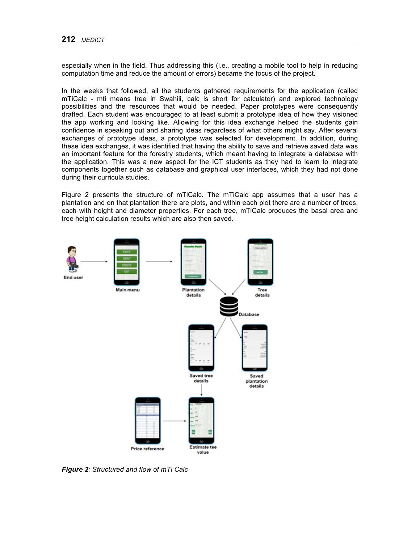especially when in the field. Thus addressing this (i.e., creating a mobile tool to help in reducing computation time and reduce the amount of errors) became the focus of the project.

In the weeks that followed, all the students gathered requirements for the application (called mTiCalc - mti means tree in Swahili, calc is short for calculator) and explored technology possibilities and the resources that would be needed. Paper prototypes were consequently drafted. Each student was encouraged to at least submit a prototype idea of how they visioned the app working and looking like. Allowing for this idea exchange helped the students gain confidence in speaking out and sharing ideas regardless of what others might say. After several exchanges of prototype ideas, a prototype was selected for development. In addition, during these idea exchanges, it was identified that having the ability to save and retrieve saved data was an important feature for the forestry students, which meant having to integrate a database with the application. This was a new aspect for the ICT students as they had to learn to integrate components together such as database and graphical user interfaces, which they had not done during their curricula studies.

Figure 2 presents the structure of mTiCalc. The mTiCalc app assumes that a user has a plantation and on that plantation there are plots, and within each plot there are a number of trees, each with height and diameter properties. For each tree, mTiCalc produces the basal area and tree height calculation results which are also then saved.



*Figure 2: Structured and flow of mTi Calc*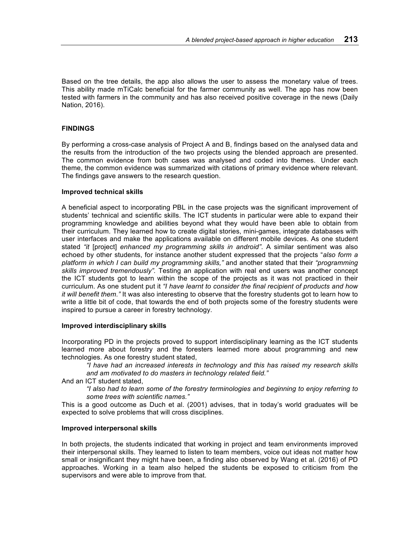Based on the tree details, the app also allows the user to assess the monetary value of trees. This ability made mTiCalc beneficial for the farmer community as well. The app has now been tested with farmers in the community and has also received positive coverage in the news (Daily Nation, 2016).

### **FINDINGS**

By performing a cross-case analysis of Project A and B, findings based on the analysed data and the results from the introduction of the two projects using the blended approach are presented. The common evidence from both cases was analysed and coded into themes. Under each theme, the common evidence was summarized with citations of primary evidence where relevant. The findings gave answers to the research question.

#### **Improved technical skills**

A beneficial aspect to incorporating PBL in the case projects was the significant improvement of students' technical and scientific skills. The ICT students in particular were able to expand their programming knowledge and abilities beyond what they would have been able to obtain from their curriculum. They learned how to create digital stories, mini-games, integrate databases with user interfaces and make the applications available on different mobile devices. As one student stated *"it* [project] *enhanced my programming skills in android"*. A similar sentiment was also echoed by other students, for instance another student expressed that the projects "*also form a platform in which I can build my programming skills,"* and another stated that their *"programming skills improved tremendously".* Testing an application with real end users was another concept the ICT students got to learn within the scope of the projects as it was not practiced in their curriculum. As one student put it *"I have learnt to consider the final recipient of products and how it will benefit them."* It was also interesting to observe that the forestry students got to learn how to write a little bit of code, that towards the end of both projects some of the forestry students were inspired to pursue a career in forestry technology.

#### **Improved interdisciplinary skills**

Incorporating PD in the projects proved to support interdisciplinary learning as the ICT students learned more about forestry and the foresters learned more about programming and new technologies. As one forestry student stated,

*"I have had an increased interests in technology and this has raised my research skills and am motivated to do masters in technology related field."*

And an ICT student stated,

*"I also had to learn some of the forestry terminologies and beginning to enjoy referring to some trees with scientific names."*

This is a good outcome as Duch et al. (2001) advises, that in today's world graduates will be expected to solve problems that will cross disciplines.

#### **Improved interpersonal skills**

In both projects, the students indicated that working in project and team environments improved their interpersonal skills. They learned to listen to team members, voice out ideas not matter how small or insignificant they might have been, a finding also observed by Wang et al. (2016) of PD approaches. Working in a team also helped the students be exposed to criticism from the supervisors and were able to improve from that.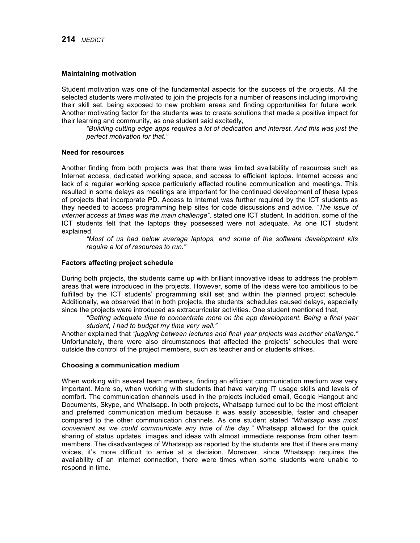#### **Maintaining motivation**

Student motivation was one of the fundamental aspects for the success of the projects. All the selected students were motivated to join the projects for a number of reasons including improving their skill set, being exposed to new problem areas and finding opportunities for future work. Another motivating factor for the students was to create solutions that made a positive impact for their learning and community, as one student said excitedly,

*"Building cutting edge apps requires a lot of dedication and interest. And this was just the perfect motivation for that."*

#### **Need for resources**

Another finding from both projects was that there was limited availability of resources such as Internet access, dedicated working space, and access to efficient laptops. Internet access and lack of a regular working space particularly affected routine communication and meetings. This resulted in some delays as meetings are important for the continued development of these types of projects that incorporate PD. Access to Internet was further required by the ICT students as they needed to access programming help sites for code discussions and advice. *"The issue of internet access at times was the main challenge",* stated one ICT student. In addition, some of the ICT students felt that the laptops they possessed were not adequate. As one ICT student explained,

*"Most of us had below average laptops, and some of the software development kits require a lot of resources to run."*

#### **Factors affecting project schedule**

During both projects, the students came up with brilliant innovative ideas to address the problem areas that were introduced in the projects. However, some of the ideas were too ambitious to be fulfilled by the ICT students' programming skill set and within the planned project schedule. Additionally, we observed that in both projects, the students' schedules caused delays, especially since the projects were introduced as extracurricular activities. One student mentioned that,

#### *"Getting adequate time to concentrate more on the app development. Being a final year student, I had to budget my time very well."*

Another explained that *"juggling between lectures and final year projects was another challenge."*  Unfortunately, there were also circumstances that affected the projects' schedules that were outside the control of the project members, such as teacher and or students strikes.

#### **Choosing a communication medium**

When working with several team members, finding an efficient communication medium was very important. More so, when working with students that have varying IT usage skills and levels of comfort. The communication channels used in the projects included email, Google Hangout and Documents, Skype, and Whatsapp. In both projects, Whatsapp turned out to be the most efficient and preferred communication medium because it was easily accessible, faster and cheaper compared to the other communication channels. As one student stated *"Whatsapp was most convenient as we could communicate any time of the day."* Whatsapp allowed for the quick sharing of status updates, images and ideas with almost immediate response from other team members. The disadvantages of Whatsapp as reported by the students are that if there are many voices, it's more difficult to arrive at a decision. Moreover, since Whatsapp requires the availability of an internet connection, there were times when some students were unable to respond in time.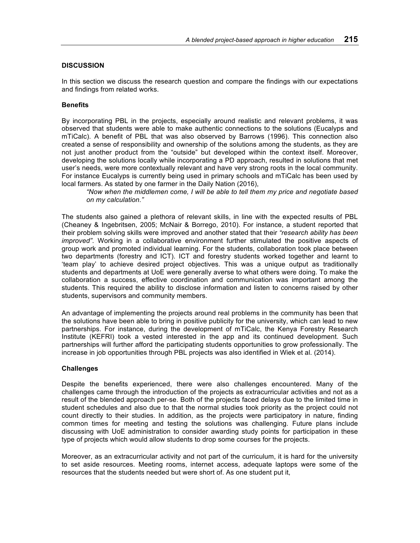# **DISCUSSION**

In this section we discuss the research question and compare the findings with our expectations and findings from related works.

### **Benefits**

By incorporating PBL in the projects, especially around realistic and relevant problems, it was observed that students were able to make authentic connections to the solutions (Eucalyps and mTiCalc). A benefit of PBL that was also observed by Barrows (1996). This connection also created a sense of responsibility and ownership of the solutions among the students, as they are not just another product from the "outside" but developed within the context itself. Moreover, developing the solutions locally while incorporating a PD approach, resulted in solutions that met user's needs, were more contextually relevant and have very strong roots in the local community. For instance Eucalyps is currently being used in primary schools and mTiCalc has been used by local farmers. As stated by one farmer in the Daily Nation (2016),

*"Now when the middlemen come, I will be able to tell them my price and negotiate based on my calculation."*

The students also gained a plethora of relevant skills, in line with the expected results of PBL (Cheaney & Ingebritsen, 2005; McNair & Borrego, 2010). For instance, a student reported that their problem solving skills were improved and another stated that their *"research ability has been improved"*. Working in a collaborative environment further stimulated the positive aspects of group work and promoted individual learning. For the students, collaboration took place between two departments (forestry and ICT). ICT and forestry students worked together and learnt to 'team play' to achieve desired project objectives. This was a unique output as traditionally students and departments at UoE were generally averse to what others were doing. To make the collaboration a success, effective coordination and communication was important among the students. This required the ability to disclose information and listen to concerns raised by other students, supervisors and community members.

An advantage of implementing the projects around real problems in the community has been that the solutions have been able to bring in positive publicity for the university, which can lead to new partnerships. For instance, during the development of mTiCalc, the Kenya Forestry Research Institute (KEFRI) took a vested interested in the app and its continued development. Such partnerships will further afford the participating students opportunities to grow professionally. The increase in job opportunities through PBL projects was also identified in Wiek et al. (2014).

# **Challenges**

Despite the benefits experienced, there were also challenges encountered. Many of the challenges came through the introduction of the projects as extracurricular activities and not as a result of the blended approach per-se. Both of the projects faced delays due to the limited time in student schedules and also due to that the normal studies took priority as the project could not count directly to their studies. In addition, as the projects were participatory in nature, finding common times for meeting and testing the solutions was challenging. Future plans include discussing with UoE administration to consider awarding study points for participation in these type of projects which would allow students to drop some courses for the projects.

Moreover, as an extracurricular activity and not part of the curriculum, it is hard for the university to set aside resources. Meeting rooms, internet access, adequate laptops were some of the resources that the students needed but were short of. As one student put it,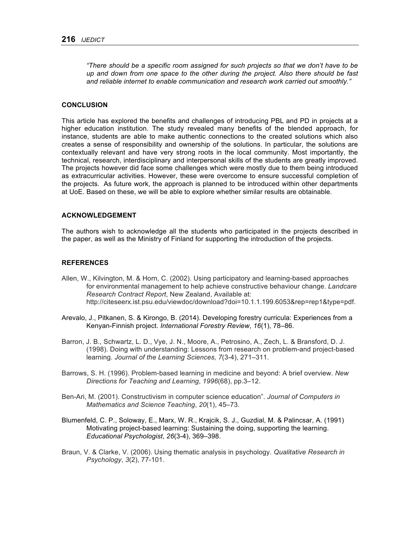*"There should be a specific room assigned for such projects so that we don't have to be up and down from one space to the other during the project. Also there should be fast and reliable internet to enable communication and research work carried out smoothly."*

#### **CONCLUSION**

This article has explored the benefits and challenges of introducing PBL and PD in projects at a higher education institution. The study revealed many benefits of the blended approach, for instance, students are able to make authentic connections to the created solutions which also creates a sense of responsibility and ownership of the solutions. In particular, the solutions are contextually relevant and have very strong roots in the local community. Most importantly, the technical, research, interdisciplinary and interpersonal skills of the students are greatly improved. The projects however did face some challenges which were mostly due to them being introduced as extracurricular activities. However, these were overcome to ensure successful completion of the projects. As future work, the approach is planned to be introduced within other departments at UoE. Based on these, we will be able to explore whether similar results are obtainable.

# **ACKNOWLEDGEMENT**

The authors wish to acknowledge all the students who participated in the projects described in the paper, as well as the Ministry of Finland for supporting the introduction of the projects.

#### **REFERENCES**

- Allen, W., Kilvington, M. & Horn, C. (2002). Using participatory and learning-based approaches for environmental management to help achieve constructive behaviour change. *Landcare Research Contract Report*, New Zealand, Available at: http://citeseerx.ist.psu.edu/viewdoc/download?doi=10.1.1.199.6053&rep=rep1&type=pdf.
- Arevalo, J., Pitkanen, S. & Kirongo, B. (2014). Developing forestry curricula: Experiences from a Kenyan-Finnish project. *International Forestry Review*, *16*(1), 78–86.
- Barron, J. B., Schwartz, L. D., Vye, J. N., Moore, A., Petrosino, A., Zech, L. & Bransford, D. J. (1998). Doing with understanding: Lessons from research on problem-and project-based learning. *Journal of the Learning Sciences, 7*(3-4), 271–311.
- Barrows, S. H. (1996). Problem-based learning in medicine and beyond: A brief overview. *New Directions for Teaching and Learning*, *1996*(68), pp.3–12.
- Ben-Ari, M. (2001). Constructivism in computer science education". *Journal of Computers in Mathematics and Science Teaching*, *20*(1), 45–73.
- Blumenfeld, C. P., Soloway, E., Marx, W. R., Krajcik, S. J., Guzdial, M. & Palincsar, A. (1991) Motivating project-based learning: Sustaining the doing, supporting the learning. *Educational Psychologist*, *26*(3-4), 369–398.
- Braun, V. & Clarke, V. (2006). Using thematic analysis in psychology. *Qualitative Research in Psychology*, *3*(2), 77-101.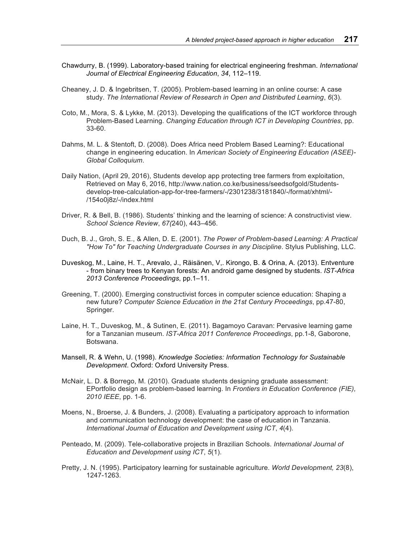- Chawdurry, B. (1999). Laboratory-based training for electrical engineering freshman. *International Journal of Electrical Engineering Education*, *34*, 112–119.
- Cheaney, J. D. & Ingebritsen, T. (2005). Problem-based learning in an online course: A case study. *The International Review of Research in Open and Distributed Learning*, *6*(3).
- Coto, M., Mora, S. & Lykke, M. (2013). Developing the qualifications of the ICT workforce through Problem-Based Learning. *Changing Education through ICT in Developing Countries*, pp. 33-60.
- Dahms, M. L. & Stentoft, D. (2008). Does Africa need Problem Based Learning?: Educational change in engineering education. In *American Society of Engineering Education (ASEE)- Global Colloquium*.
- Daily Nation, (April 29, 2016), Students develop app protecting tree farmers from exploitation, Retrieved on May 6, 2016, http://www.nation.co.ke/business/seedsofgold/Studentsdevelop-tree-calculation-app-for-tree-farmers/-/2301238/3181840/-/format/xhtml/- /154o0j8z/-/index.html
- Driver, R. & Bell, B. (1986). Students' thinking and the learning of science: A constructivist view. *School Science Review*, *67(*240), 443–456.
- Duch, B. J., Groh, S. E., & Allen, D. E. (2001). *The Power of Problem-based Learning: A Practical "How To" for Teaching Undergraduate Courses in any Discipline*. Stylus Publishing, LLC.
- Duveskog, M., Laine, H. T., Arevalo, J., Räisänen, V,. Kirongo, B. & Orina, A. (2013). Entventure - from binary trees to Kenyan forests: An android game designed by students. *IST-Africa 2013 Conference Proceedings*, pp.1–11.
- Greening, T. (2000). Emerging constructivist forces in computer science education: Shaping a new future? *Computer Science Education in the 21st Century Proceedings*, pp.47-80, Springer.
- Laine, H. T., Duveskog, M., & Sutinen, E. (2011). Bagamoyo Caravan: Pervasive learning game for a Tanzanian museum. *IST-Africa 2011 Conference Proceedings*, pp.1-8, Gaborone, Botswana.
- Mansell, R. & Wehn, U. (1998). *Knowledge Societies: Information Technology for Sustainable Development*. Oxford: Oxford University Press.
- McNair, L. D. & Borrego, M. (2010). Graduate students designing graduate assessment: EPortfolio design as problem-based learning. In *Frontiers in Education Conference (FIE), 2010 IEEE*, pp. 1-6.
- Moens, N., Broerse, J. & Bunders, J. (2008). Evaluating a participatory approach to information and communication technology development: the case of education in Tanzania. *International Journal of Education and Development using ICT*, *4*(4).
- Penteado, M. (2009). Tele-collaborative projects in Brazilian Schools. *International Journal of Education and Development using ICT*, *5*(1).
- Pretty, J. N. (1995). Participatory learning for sustainable agriculture. *World Development, 23*(8), 1247-1263.